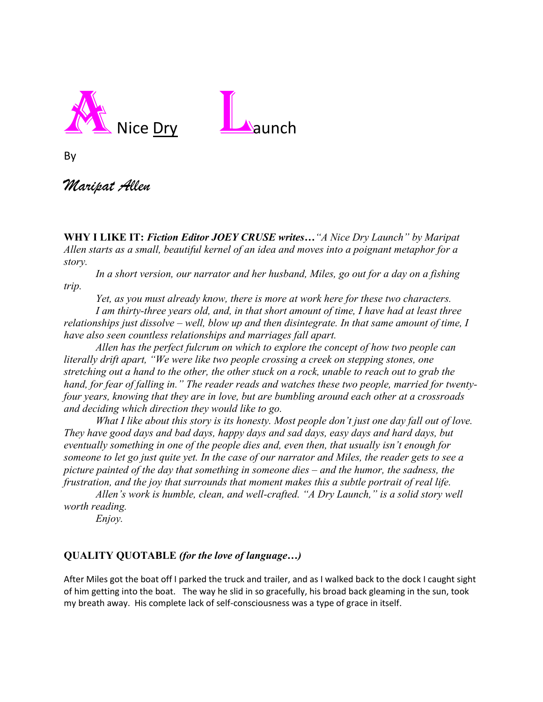

By

## *Maripat Allen*

**WHY I LIKE IT:** *Fiction Editor JOEY CRUSE writes…"A Nice Dry Launch" by Maripat Allen starts as a small, beautiful kernel of an idea and moves into a poignant metaphor for a story.* 

*In a short version, our narrator and her husband, Miles, go out for a day on a fishing trip.*

*Yet, as you must already know, there is more at work here for these two characters.* 

*I am thirty-three years old, and, in that short amount of time, I have had at least three relationships just dissolve – well, blow up and then disintegrate. In that same amount of time, I have also seen countless relationships and marriages fall apart.* 

*Allen has the perfect fulcrum on which to explore the concept of how two people can literally drift apart, "We were like two people crossing a creek on stepping stones, one stretching out a hand to the other, the other stuck on a rock, unable to reach out to grab the hand, for fear of falling in." The reader reads and watches these two people, married for twentyfour years, knowing that they are in love, but are bumbling around each other at a crossroads and deciding which direction they would like to go.* 

*What I like about this story is its honesty. Most people don't just one day fall out of love. They have good days and bad days, happy days and sad days, easy days and hard days, but eventually something in one of the people dies and, even then, that usually isn't enough for someone to let go just quite yet. In the case of our narrator and Miles, the reader gets to see a picture painted of the day that something in someone dies – and the humor, the sadness, the frustration, and the joy that surrounds that moment makes this a subtle portrait of real life.* 

*Allen's work is humble, clean, and well-crafted. "A Dry Launch," is a solid story well worth reading.* 

*Enjoy.* 

## **QUALITY QUOTABLE** *(for the love of language…)*

After Miles got the boat off I parked the truck and trailer, and as I walked back to the dock I caught sight of him getting into the boat. The way he slid in so gracefully, his broad back gleaming in the sun, took my breath away. His complete lack of self-consciousness was a type of grace in itself.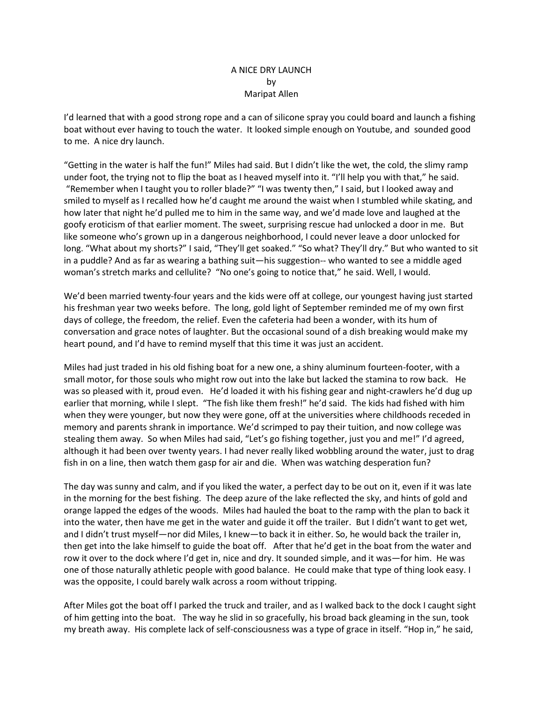## A NICE DRY LAUNCH by Maripat Allen

I'd learned that with a good strong rope and a can of silicone spray you could board and launch a fishing boat without ever having to touch the water. It looked simple enough on Youtube, and sounded good to me. A nice dry launch.

"Getting in the water is half the fun!" Miles had said. But I didn't like the wet, the cold, the slimy ramp under foot, the trying not to flip the boat as I heaved myself into it. "I'll help you with that," he said. "Remember when I taught you to roller blade?" "I was twenty then," I said, but I looked away and smiled to myself as I recalled how he'd caught me around the waist when I stumbled while skating, and how later that night he'd pulled me to him in the same way, and we'd made love and laughed at the goofy eroticism of that earlier moment. The sweet, surprising rescue had unlocked a door in me. But like someone who's grown up in a dangerous neighborhood, I could never leave a door unlocked for long. "What about my shorts?" I said, "They'll get soaked." "So what? They'll dry." But who wanted to sit in a puddle? And as far as wearing a bathing suit—his suggestion-- who wanted to see a middle aged woman's stretch marks and cellulite? "No one's going to notice that," he said. Well, I would.

We'd been married twenty-four years and the kids were off at college, our youngest having just started his freshman year two weeks before. The long, gold light of September reminded me of my own first days of college, the freedom, the relief. Even the cafeteria had been a wonder, with its hum of conversation and grace notes of laughter. But the occasional sound of a dish breaking would make my heart pound, and I'd have to remind myself that this time it was just an accident.

Miles had just traded in his old fishing boat for a new one, a shiny aluminum fourteen-footer, with a small motor, for those souls who might row out into the lake but lacked the stamina to row back. He was so pleased with it, proud even. He'd loaded it with his fishing gear and night-crawlers he'd dug up earlier that morning, while I slept. "The fish like them fresh!" he'd said. The kids had fished with him when they were younger, but now they were gone, off at the universities where childhoods receded in memory and parents shrank in importance. We'd scrimped to pay their tuition, and now college was stealing them away. So when Miles had said, "Let's go fishing together, just you and me!" I'd agreed, although it had been over twenty years. I had never really liked wobbling around the water, just to drag fish in on a line, then watch them gasp for air and die. When was watching desperation fun?

The day was sunny and calm, and if you liked the water, a perfect day to be out on it, even if it was late in the morning for the best fishing. The deep azure of the lake reflected the sky, and hints of gold and orange lapped the edges of the woods. Miles had hauled the boat to the ramp with the plan to back it into the water, then have me get in the water and guide it off the trailer. But I didn't want to get wet, and I didn't trust myself—nor did Miles, I knew—to back it in either. So, he would back the trailer in, then get into the lake himself to guide the boat off. After that he'd get in the boat from the water and row it over to the dock where I'd get in, nice and dry. It sounded simple, and it was—for him. He was one of those naturally athletic people with good balance. He could make that type of thing look easy. I was the opposite, I could barely walk across a room without tripping.

After Miles got the boat off I parked the truck and trailer, and as I walked back to the dock I caught sight of him getting into the boat. The way he slid in so gracefully, his broad back gleaming in the sun, took my breath away. His complete lack of self-consciousness was a type of grace in itself. "Hop in," he said,